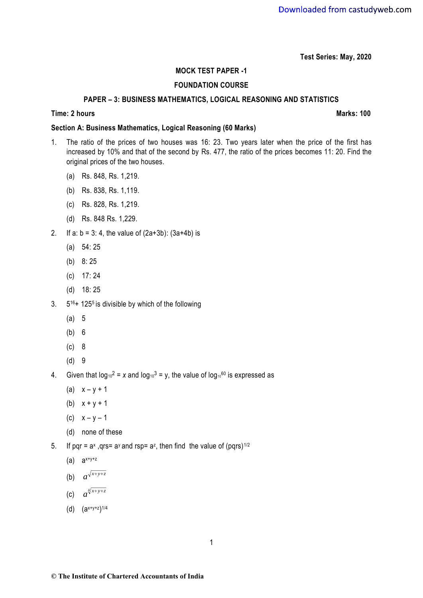**Test Series: May, 2020**

## **MOCK TEST PAPER -1**

# **FOUNDATION COURSE**

### **PAPER – 3: BUSINESS MATHEMATICS, LOGICAL REASONING AND STATISTICS**

#### **Time:** 2 hours **Marks:** 100

## **Section A: Business Mathematics, Logical Reasoning (60 Marks)**

- 1. The ratio of the prices of two houses was 16: 23. Two years later when the price of the first has increased by 10% and that of the second by Rs. 477, the ratio of the prices becomes 11: 20. Find the original prices of the two houses.
	- (a) Rs. 848, Rs. 1,219.
	- (b) Rs. 838, Rs. 1,119.
	- (c) Rs. 828, Rs. 1,219.
	- (d) Rs. 848 Rs. 1,229.
- 2. If a:  $b = 3: 4$ , the value of  $(2a+3b)$ :  $(3a+4b)$  is
	- (a) 54: 25
	- (b) 8: 25
	- (c) 17: 24
	- (d) 18: 25
- $3.$   $5^{16}$ + 125<sup>5</sup> is divisible by which of the following
	- (a) 5
	- (b) 6
	- (c) 8
	- (d) 9

4. Given that  $log_{10}^2 = x$  and  $log_{10}^3 = y$ , the value of  $log_{10}^{60}$  is expressed as

- (a)  $x y + 1$
- (b)  $x + y + 1$
- (c)  $x y 1$
- (d) none of these
- 5. If pqr =  $a^x$ , qrs=  $a^y$  and rsp=  $a^z$ , then find the value of (pqrs)<sup>1/2</sup>
	- (a)  $a^{x+y+z}$
	- (b)  $a^{\sqrt{x+y+z}}$
	- (c)  $a^{\sqrt[4]{x}+y+z}$
	- (d) (ax+y+z) 1/4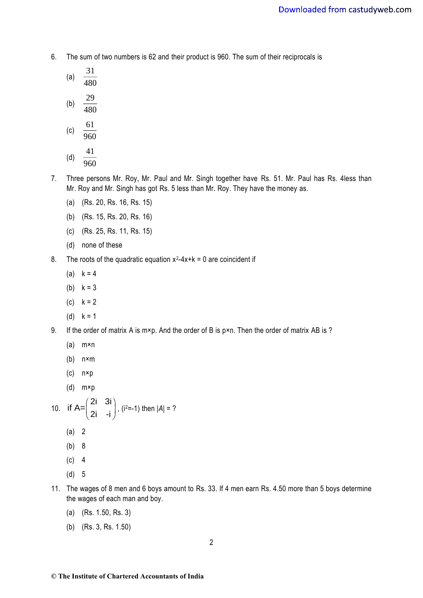- 6. The sum of two numbers is 62 and their product is 960. The sum of their reciprocals is
	- (a)  $\frac{51}{480}$ 31

$$
(b) \quad \frac{29}{480}
$$

$$
(c) \quad \frac{61}{960}
$$

$$
\begin{array}{cc}\n\text{(d)} & \frac{41}{960}\n\end{array}
$$

- 7. Three persons Mr. Roy, Mr. Paul and Mr. Singh together have Rs. 51. Mr. Paul has Rs. 4less than Mr. Roy and Mr. Singh has got Rs. 5 less than Mr. Roy. They have the money as.
	- (a) (Rs. 20, Rs. 16, Rs. 15)
	- (b) (Rs. 15, Rs. 20, Rs. 16)
	- (c) (Rs. 25, Rs. 11, Rs. 15)
	- (d) none of these
- 8. The roots of the quadratic equation  $x^2-4x+k=0$  are coincident if
	- (a)  $k = 4$
	- (b)  $k = 3$
	- (c)  $k = 2$
	- (d)  $k = 1$
- 9. If the order of matrix A is m×p. And the order of B is p×n. Then the order of matrix AB is ?
	- (a) m×n
	- (b) n×m
	- (c) n×p
	- (d) m×p

10. if 
$$
A = \begin{pmatrix} 2i & 3i \\ 2i & -i \end{pmatrix}
$$
,  $(i^{2}=-1)$  then  $|A| = ?$ 

- (a) 2
- (b) 8
- $(c)$  4
- (d) 5
- 11. The wages of 8 men and 6 boys amount to Rs. 33. If 4 men earn Rs. 4.50 more than 5 boys determine the wages of each man and boy.
	- (a) (Rs. 1.50, Rs. 3)
	- (b) (Rs. 3, Rs. 1.50)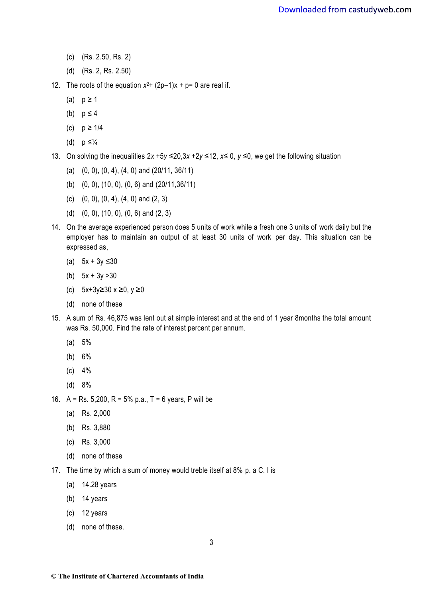- (c) (Rs. 2.50, Rs. 2)
- (d) (Rs. 2, Rs. 2.50)
- 12. The roots of the equation  $x^2 + (2p-1)x + p = 0$  are real if.
	- (a)  $p \ge 1$
	- (b)  $p \leq 4$
	- (c)  $p ≥ 1/4$
	- (d)  $p \leq \frac{1}{4}$
- 13. On solving the inequalities 2*x* +5*y* ≤20,3*x* +2*y* ≤12, *x≤* 0, *y ≤*0, we get the following situation
	- (a) (0, 0), (0, 4), (4, 0) and (20/11, 36/11)
	- (b) (0, 0), (10, 0), (0, 6) and (20/11,36/11)
	- (c) (0, 0), (0, 4), (4, 0) and (2, 3)
	- (d) (0, 0), (10, 0), (0, 6) and (2, 3)
- 14. On the average experienced person does 5 units of work while a fresh one 3 units of work daily but the employer has to maintain an output of at least 30 units of work per day. This situation can be expressed as,
	- (a) 5x + 3y ≤30
	- (b)  $5x + 3y > 30$
	- (c) 5x+3y≥30 x ≥0, y ≥0
	- (d) none of these
- 15. A sum of Rs. 46,875 was lent out at simple interest and at the end of 1 year 8months the total amount was Rs. 50,000. Find the rate of interest percent per annum.
	- (a) 5%
	- (b) 6%
	- (c) 4%
	- (d) 8%
- 16. A = Rs. 5,200, R = 5% p.a., T = 6 years, P will be
	- (a) Rs. 2,000
	- (b) Rs. 3,880
	- (c) Rs. 3,000
	- (d) none of these
- 17. The time by which a sum of money would treble itself at 8% p. a C. I is
	- (a) 14.28 years
	- (b) 14 years
	- (c) 12 years
	- (d) none of these.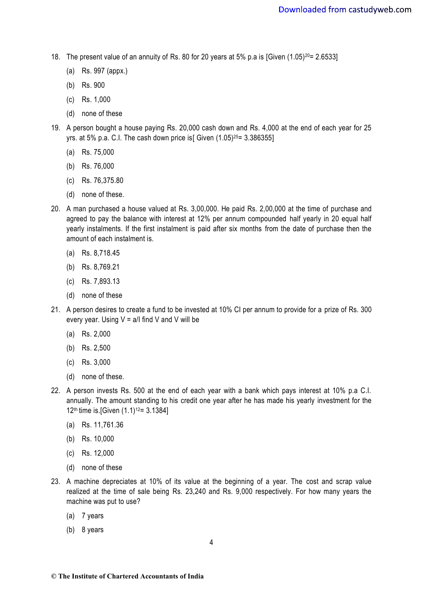- 18. The present value of an annuity of Rs. 80 for 20 years at 5% p.a is [Given  $(1.05)^{20}$ = 2.6533]
	- (a) Rs. 997 (appx.)
	- (b) Rs. 900
	- (c) Rs. 1,000
	- (d) none of these
- 19. A person bought a house paying Rs. 20,000 cash down and Rs. 4,000 at the end of each year for 25 yrs. at 5% p.a. C.I. The cash down price is [Given  $(1.05)^{25}$ = 3.386355]
	- (a) Rs. 75,000
	- (b) Rs. 76,000
	- (c) Rs. 76,375.80
	- (d) none of these.
- 20. A man purchased a house valued at Rs. 3,00,000. He paid Rs. 2,00,000 at the time of purchase and agreed to pay the balance with interest at 12% per annum compounded half yearly in 20 equal half yearly instalments. If the first instalment is paid after six months from the date of purchase then the amount of each instalment is.
	- (a) Rs. 8,718.45
	- (b) Rs. 8,769.21
	- (c) Rs. 7,893.13
	- (d) none of these
- 21. A person desires to create a fund to be invested at 10% CI per annum to provide for a prize of Rs. 300 every year. Using  $V = a/I$  find V and V will be
	- (a) Rs. 2,000
	- (b) Rs. 2,500
	- (c) Rs. 3,000
	- (d) none of these.
- 22. A person invests Rs. 500 at the end of each year with a bank which pays interest at 10% p.a C.I. annually. The amount standing to his credit one year after he has made his yearly investment for the 12<sup>th</sup> time is. [Given  $(1.1)$ <sup>12</sup> = 3.1384]
	- (a) Rs. 11,761.36
	- (b) Rs. 10,000
	- (c) Rs. 12,000
	- (d) none of these
- 23. A machine depreciates at 10% of its value at the beginning of a year. The cost and scrap value realized at the time of sale being Rs. 23,240 and Rs. 9,000 respectively. For how many years the machine was put to use?
	- (a) 7 years
	- (b) 8 years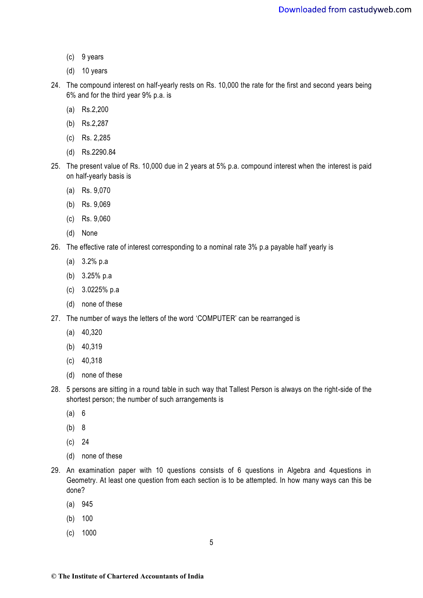- (c) 9 years
- (d) 10 years
- 24. The compound interest on half-yearly rests on Rs. 10,000 the rate for the first and second years being 6% and for the third year 9% p.a. is
	- (a) Rs.2,200
	- (b) Rs.2,287
	- (c) Rs. 2,285
	- (d) Rs.2290.84
- 25. The present value of Rs. 10,000 due in 2 years at 5% p.a. compound interest when the interest is paid on half-yearly basis is
	- (a) Rs. 9,070
	- (b) Rs. 9,069
	- (c) Rs. 9,060
	- (d) None
- 26. The effective rate of interest corresponding to a nominal rate 3% p.a payable half yearly is
	- (a) 3.2% p.a
	- (b) 3.25% p.a
	- (c) 3.0225% p.a
	- (d) none of these
- 27. The number of ways the letters of the word 'COMPUTER' can be rearranged is
	- (a) 40,320
	- (b) 40,319
	- (c) 40,318
	- (d) none of these
- 28. 5 persons are sitting in a round table in such way that Tallest Person is always on the right-side of the shortest person; the number of such arrangements is
	- (a) 6
	- (b) 8
	- (c) 24
	- (d) none of these
- 29. An examination paper with 10 questions consists of 6 questions in Algebra and 4questions in Geometry. At least one question from each section is to be attempted. In how many ways can this be done?**7**
	- (a) 945
	- (b) 100
	- (c) 1000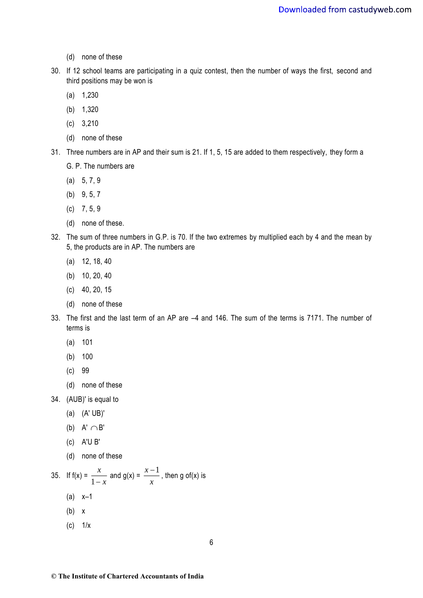- (d) none of these
- 30. If 12 school teams are participating in a quiz contest, then the number of ways the first, second and third positions may be won is
	- (a) 1,230
	- (b) 1,320
	- (c) 3,210
	- (d) none of these
- 31. Three numbers are in AP and their sum is 21. If 1, 5, 15 are added to them respectively, they form a
	- G. P. The numbers are
	- (a) 5, 7, 9
	- (b) 9, 5, 7
	- $(c)$  7, 5, 9
	- (d) none of these.
- 32. The sum of three numbers in G.P. is 70. If the two extremes by multiplied each by 4 and the mean by 5, the products are in AP. The numbers are
	- (a) 12, 18, 40
	- (b) 10, 20, 40
	- (c) 40, 20, 15
	- (d) none of these
- 33. The first and the last term of an AP are –4 and 146. The sum of the terms is 7171. The number of terms is
	- (a) 101
	- (b) 100
	- (c) 99
	- (d) none of these
- 34. (AUB)' is equal to
	- (a) (A' UB)'
	- (b)  $A' \cap B'$
	- (c) A'U B'
	- (d) none of these

35. If 
$$
f(x) = \frac{x}{1-x}
$$
 and  $g(x) = \frac{x-1}{x}$ , then  $g \circ f(x)$  is

- (a) x–1
- (b) x
- $(c)$   $1/x$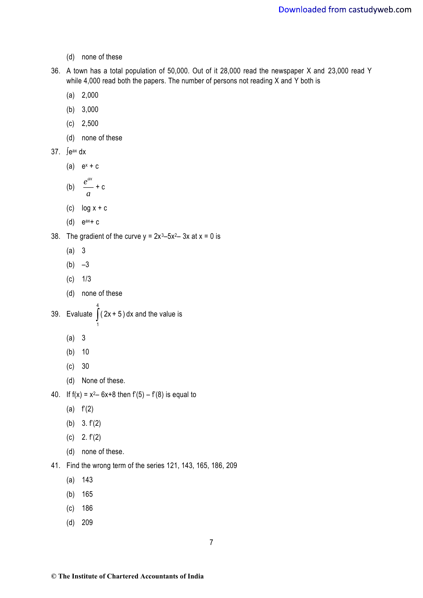- (d) none of these
- 36. A town has a total population of 50,000. Out of it 28,000 read the newspaper X and 23,000 read Y while 4,000 read both the papers. The number of persons not reading X and Y both is
	- (a) 2,000
	- (b) 3,000
	- (c) 2,500
	- (d) none of these

37. 
$$
\int e^{ax} \, dx
$$

(a)  $e^x + c$ 

(b) 
$$
\frac{e^{ax}}{a} + c
$$

- (c)  $log x + c$
- $(d)$  e<sup>ax</sup>+ c
- 38. The gradient of the curve  $y = 2x^3-5x^2-3x$  at  $x = 0$  is
	- (a) 3
	- $(b) -3$
	- $(c)$  1/3
	- (d) none of these
- 39. Evaluate  $\int_0^4$ 1 ( 2x + 5 ) dx and the value is
	- (a) 3
	- (b) 10
	- (c) 30
	- (d) None of these.
- 40. If  $f(x) = x^2 6x + 8$  then  $f'(5) f'(8)$  is equal to
	- (a) f'(2)
	- (b) 3. f'(2)
	- (c) 2. f'(2)
	- (d) none of these.
- 41. Find the wrong term of the series 121, 143, 165, 186, 209
	- (a) 143
	- (b) 165
	- (c) 186
	- (d) 209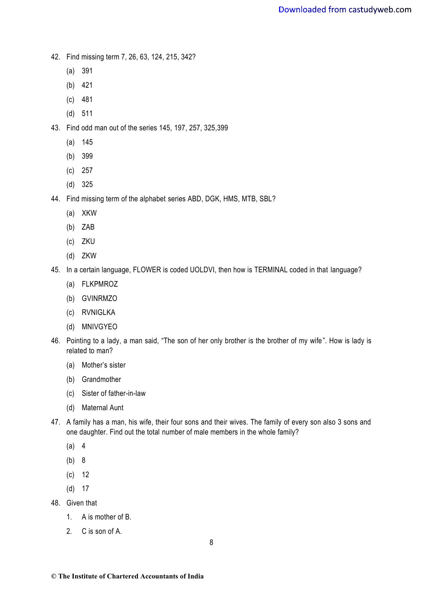- 42. Find missing term 7, 26, 63, 124, 215, 342?
	- (a) 391
	- (b) 421
	- (c) 481
	- (d) 511
- 43. Find odd man out of the series 145, 197, 257, 325,399
	- (a) 145
	- (b) 399
	- (c) 257
	- (d) 325
- 44. Find missing term of the alphabet series ABD, DGK, HMS, MTB, SBL?
	- (a) XKW
	- (b) ZAB
	- (c) ZKU
	- (d) ZKW
- 45. In a certain language, FLOWER is coded UOLDVI, then how is TERMINAL coded in that language?
	- (a) FLKPMROZ
	- (b) GVINRMZO
	- (c) RVNIGLKA
	- (d) MNIVGYEO
- 46. Pointing to a lady, a man said, "The son of her only brother is the brother of my wife ". How is lady is related to man?
	- (a) Mother's sister
	- (b) Grandmother
	- (c) Sister of father-in-law
	- (d) Maternal Aunt
- 47. A family has a man, his wife, their four sons and their wives. The family of every son also 3 sons and one daughter. Find out the total number of male members in the whole family?
	- (a) 4
	- (b) 8
	- (c) 12
	- (d) 17
- 48. Given that
	- 1. A is mother of B.
	- 2. C is son of A.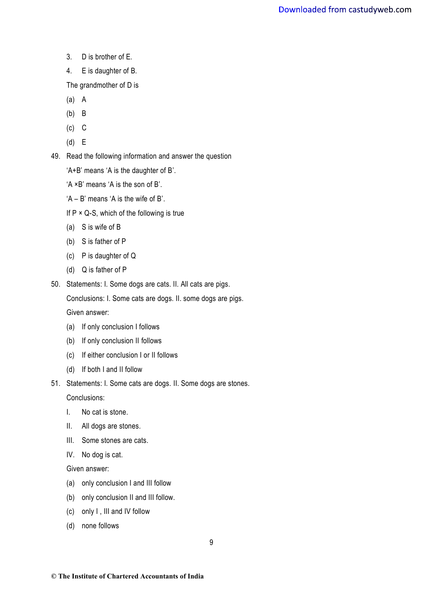- 3. D is brother of E.
- 4. E is daughter of B.

The grandmother of D is

- (a) A
- (b) B
- $(c)$  C
- (d) E

49. Read the following information and answer the question

'A+B' means 'A is the daughter of B'.

'A ×B' means 'A is the son of B'.

'A – B' means 'A is the wife of B'.

- If  $P \times Q$ -S, which of the following is true
- (a) S is wife of B
- (b) S is father of P
- (c) P is daughter of Q
- (d) Q is father of P
- 50. Statements: I. Some dogs are cats. II. All cats are pigs.

Conclusions: I. Some cats are dogs. II. some dogs are pigs.

Given answer:

- (a) If only conclusion I follows
- (b) If only conclusion II follows
- (c) If either conclusion I or II follows
- (d) If both I and II follow
- 51. Statements: I. Some cats are dogs. II. Some dogs are stones.

Conclusions:

- I. No cat is stone.
- II. All dogs are stones.
- III. Some stones are cats.
- IV. No dog is cat.

Given answer:

- (a) only conclusion I and III follow
- (b) only conclusion II and III follow.
- (c) only I , III and IV follow
- (d) none follows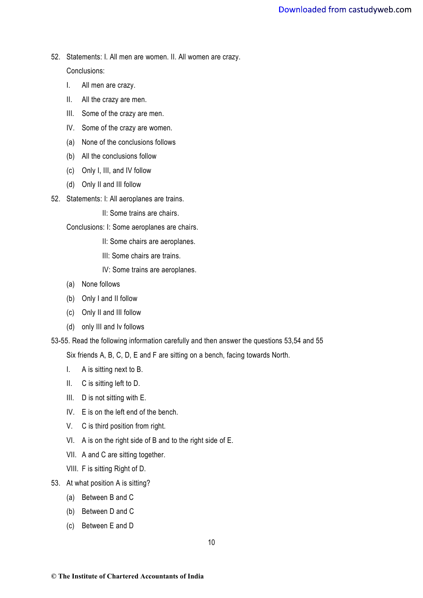- 52. Statements: I. All men are women. II. All women are crazy. Conclusions:
	- I. All men are crazy.
	- II. All the crazy are men.
	- III. Some of the crazy are men.
	- IV. Some of the crazy are women.
	- (a) None of the conclusions follows
	- (b) All the conclusions follow
	- (c) Only I, III, and IV follow
	- (d) Only II and III follow
- 52. Statements: I: All aeroplanes are trains.

II: Some trains are chairs.

Conclusions: I: Some aeroplanes are chairs.

- II: Some chairs are aeroplanes.
- III: Some chairs are trains.

IV: Some trains are aeroplanes.

- (a) None follows
- (b) Only I and II follow
- (c) Only II and III follow
- (d) only III and Iv follows

53-55. Read the following information carefully and then answer the questions 53,54 and 55

Six friends A, B, C, D, E and F are sitting on a bench, facing towards North.

- I. A is sitting next to B.
- II. C is sitting left to D.
- III. D is not sitting with E.
- IV. E is on the left end of the bench.
- V. C is third position from right.
- VI. A is on the right side of B and to the right side of E.
- VII. A and C are sitting together.
- VIII. F is sitting Right of D.
- 53. At what position A is sitting?
	- (a) Between B and C
	- (b) Between D and C
	- (c) Between E and D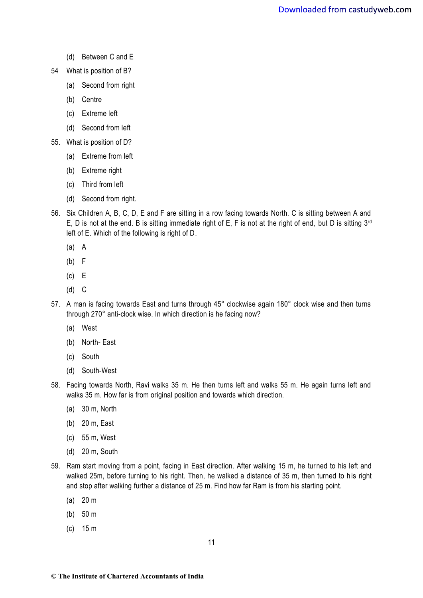- (d) Between C and E
- 54 What is position of B?
	- (a) Second from right
	- (b) Centre
	- (c) Extreme left
	- (d) Second from left
- 55. What is position of D?
	- (a) Extreme from left
	- (b) Extreme right
	- (c) Third from left
	- (d) Second from right.
- 56. Six Children A, B, C, D, E and F are sitting in a row facing towards North. C is sitting between A and E, D is not at the end. B is sitting immediate right of E, F is not at the right of end, but D is sitting 3rd left of E. Which of the following is right of D.
	- (a) A
	- (b) F
	- (c) E
	- (d) C
- 57. A man is facing towards East and turns through 45° clockwise again 180° clock wise and then turns through 270° anti-clock wise. In which direction is he facing now?
	- (a) West
	- (b) North- East
	- (c) South
	- (d) South-West
- 58. Facing towards North, Ravi walks 35 m. He then turns left and walks 55 m. He again turns left and walks 35 m. How far is from original position and towards which direction.
	- (a) 30 m, North
	- (b) 20 m, East
	- (c) 55 m, West
	- (d) 20 m, South
- 59. Ram start moving from a point, facing in East direction. After walking 15 m, he turned to his left and walked 25m, before turning to his right. Then, he walked a distance of 35 m, then turned to his right and stop after walking further a distance of 25 m. Find how far Ram is from his starting point.
	- (a) 20 m
	- (b) 50 m
	- (c) 15 m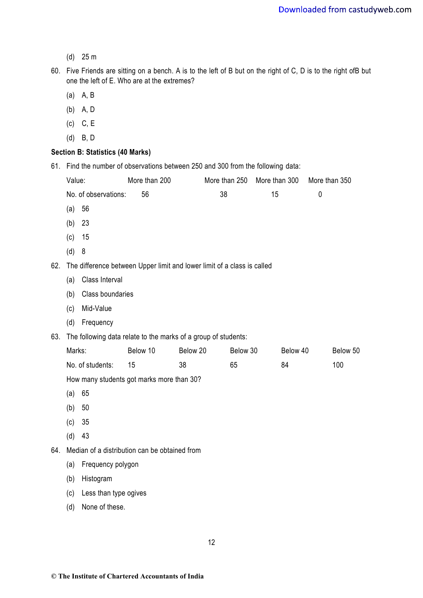- (d) 25 m
- 60. Five Friends are sitting on a bench. A is to the left of B but on the right of C, D is to the right ofB but one the left of E. Who are at the extremes?
	- (a) A, B
	- (b) A, D
	- (c) C, E
	- (d) B, D

# **Section B: Statistics (40 Marks)**

61. Find the number of observations between 250 and 300 from the following data:

| 61. | Find the number of observations between 250 and 300 from the following data: |                                                                         |               |          |               |    |               |               |     |  |
|-----|------------------------------------------------------------------------------|-------------------------------------------------------------------------|---------------|----------|---------------|----|---------------|---------------|-----|--|
|     | Value:                                                                       |                                                                         | More than 200 |          | More than 250 |    | More than 300 | More than 350 |     |  |
|     | No. of observations:                                                         |                                                                         | 56            | 38       |               | 15 |               | $\mathbf 0$   |     |  |
|     | 56<br>(a)                                                                    |                                                                         |               |          |               |    |               |               |     |  |
|     | 23<br>(b)                                                                    |                                                                         |               |          |               |    |               |               |     |  |
|     | 15<br>(c)                                                                    |                                                                         |               |          |               |    |               |               |     |  |
|     | (d)<br>8                                                                     |                                                                         |               |          |               |    |               |               |     |  |
| 62. |                                                                              | The difference between Upper limit and lower limit of a class is called |               |          |               |    |               |               |     |  |
|     | (a)                                                                          | Class Interval                                                          |               |          |               |    |               |               |     |  |
|     | (b)                                                                          | Class boundaries                                                        |               |          |               |    |               |               |     |  |
|     | (c)                                                                          | Mid-Value                                                               |               |          |               |    |               |               |     |  |
|     | (d)                                                                          | Frequency                                                               |               |          |               |    |               |               |     |  |
| 63. | The following data relate to the marks of a group of students:               |                                                                         |               |          |               |    |               |               |     |  |
|     | Marks:                                                                       |                                                                         | Below 10      | Below 20 | Below 30      |    | Below 40      | Below 50      |     |  |
|     | No. of students:                                                             |                                                                         | 15            | 38       | 65            |    | 84            |               | 100 |  |
|     | How many students got marks more than 30?                                    |                                                                         |               |          |               |    |               |               |     |  |
|     | 65<br>(a)                                                                    |                                                                         |               |          |               |    |               |               |     |  |
|     | 50<br>(b)                                                                    |                                                                         |               |          |               |    |               |               |     |  |
|     | 35<br>(c)                                                                    |                                                                         |               |          |               |    |               |               |     |  |
|     | 43<br>(d)                                                                    |                                                                         |               |          |               |    |               |               |     |  |
| 64. | Median of a distribution can be obtained from                                |                                                                         |               |          |               |    |               |               |     |  |
|     | (a)                                                                          | Frequency polygon                                                       |               |          |               |    |               |               |     |  |
|     | (b)                                                                          | Histogram                                                               |               |          |               |    |               |               |     |  |
|     | (c)                                                                          | Less than type ogives                                                   |               |          |               |    |               |               |     |  |

(d) None of these.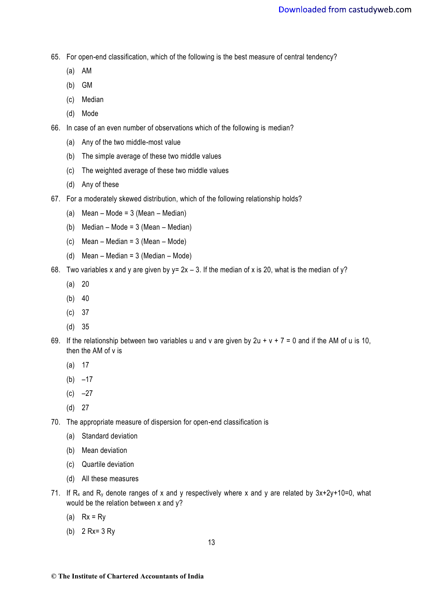65. For open-end classification, which of the following is the best measure of central tendency?

- (a) AM
- (b) GM
- (c) Median
- (d) Mode

66. In case of an even number of observations which of the following is median?

- (a) Any of the two middle-most value
- (b) The simple average of these two middle values
- (c) The weighted average of these two middle values
- (d) Any of these
- 67. For a moderately skewed distribution, which of the following relationship holds?
	- (a) Mean Mode = 3 (Mean Median)
	- (b) Median Mode = 3 (Mean Median)
	- (c) Mean Median = 3 (Mean Mode)
	- (d) Mean Median = 3 (Median Mode)
- 68. Two variables x and y are given by  $y = 2x 3$ . If the median of x is 20, what is the median of y?
	- (a) 20
	- $(b)$  40
	- (c) 37
	- (d) 35
- 69. If the relationship between two variables u and v are given by  $2u + v + 7 = 0$  and if the AM of u is 10, then the AM of v is
	- (a) 17
	- $(b) -17$
	- $(c) -27$
	- (d) 27
- 70. The appropriate measure of dispersion for open-end classification is
	- (a) Standard deviation
	- (b) Mean deviation
	- (c) Quartile deviation
	- (d) All these measures
- 71. If  $R_x$  and  $R_y$  denote ranges of x and y respectively where x and y are related by  $3x+2y+10=0$ , what would be the relation between x and y?
	- (a)  $Rx = Ry$
	- (b) 2 Rx= 3 Ry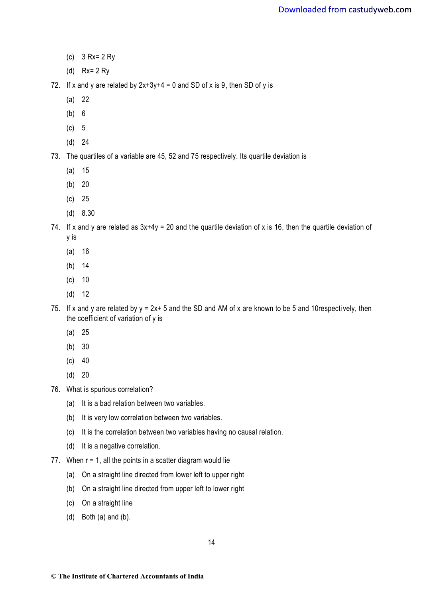- (c) 3 Rx= 2 Ry
- (d) Rx= 2 Ry
- 72. If x and y are related by  $2x+3y+4 = 0$  and SD of x is 9, then SD of y is
	- (a) 22
	- (b) 6
	- (c) 5
	- (d) 24
- 73. The quartiles of a variable are 45, 52 and 75 respectively. Its quartile deviation is
	- (a) 15
	- (b) 20
	- (c) 25
	- (d) 8.30

74. If x and y are related as  $3x+4y = 20$  and the quartile deviation of x is 16, then the quartile deviation of y is

- (a) 16
- (b) 14
- (c) 10
- (d) 12
- 75. If x and y are related by  $y = 2x + 5$  and the SD and AM of x are known to be 5 and 10 respectively, then the coefficient of variation of y is
	- (a) 25
	- (b) 30
	- $(c) 40$
	- (d) 20
- 76. What is spurious correlation?
	- (a) It is a bad relation between two variables.
	- (b) It is very low correlation between two variables.
	- (c) It is the correlation between two variables having no causal relation.
	- (d) It is a negative correlation.
- 77. When  $r = 1$ , all the points in a scatter diagram would lie
	- (a) On a straight line directed from lower left to upper right
	- (b) On a straight line directed from upper left to lower right
	- (c) On a straight line
	- (d) Both (a) and (b).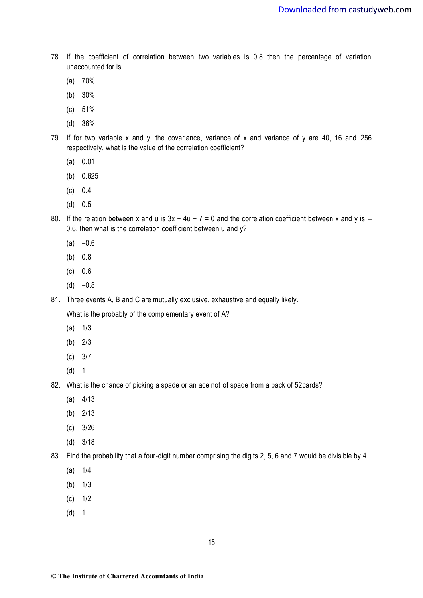- 78. If the coefficient of correlation between two variables is 0.8 then the percentage of variation unaccounted for is
	- (a) 70%
	- (b) 30%
	- (c) 51%
	- (d) 36%
- 79. If for two variable x and y, the covariance, variance of x and variance of y are 40, 16 and 256 respectively, what is the value of the correlation coefficient?
	- (a) 0.01
	- (b) 0.625
	- (c) 0.4
	- (d) 0.5
- 80. If the relation between x and u is  $3x + 4u + 7 = 0$  and the correlation coefficient between x and y is 0.6, then what is the correlation coefficient between u and y?
	- $(a) -0.6$
	- (b) 0.8
	- (c) 0.6
	- $(d) -0.8$

81. Three events A, B and C are mutually exclusive, exhaustive and equally likely.

What is the probably of the complementary event of A?

- $(a)$   $1/3$
- (b) 2/3
- (c) 3/7
- (d) 1
- 82. What is the chance of picking a spade or an ace not of spade from a pack of 52cards?
	- (a) 4/13
	- (b) 2/13
	- (c) 3/26
	- (d) 3/18
- 83. Find the probability that a four-digit number comprising the digits 2, 5, 6 and 7 would be divisible by 4.
	- (a) 1/4
	- (b) 1/3
	- (c) 1/2
	- (d) 1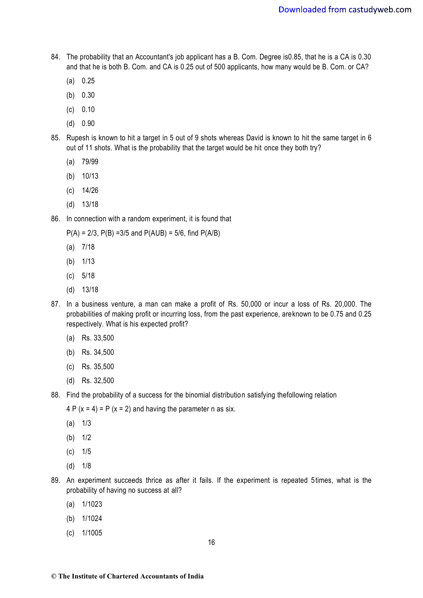- 84. The probability that an Accountant's job applicant has a B. Com. Degree is0.85, that he is a CA is 0.30 and that he is both B. Com. and CA is 0.25 out of 500 applicants, how many would be B. Com. or CA?
	- (a) 0.25
	- (b) 0.30
	- (c) 0.10
	- (d) 0.90
- 85. Rupesh is known to hit a target in 5 out of 9 shots whereas David is known to hit the same target in 6 out of 11 shots. What is the probability that the target would be hit once they both try?
	- (a) 79/99
	- (b) 10/13
	- (c) 14/26
	- (d) 13/18
- 86. In connection with a random experiment, it is found that

 $P(A) = 2/3$ ,  $P(B) = 3/5$  and  $P(A \cup B) = 5/6$ , find  $P(A \cup B)$ 

- (a) 7/18
- (b) 1/13
- (c) 5/18
- (d) 13/18
- 87. In a business venture, a man can make a profit of Rs. 50,000 or incur a loss of Rs. 20,000. The probabilities of making profit or incurring loss, from the past experience, areknown to be 0.75 and 0.25 respectively. What is his expected profit?
	- (a) Rs. 33,500
	- (b) Rs. 34,500
	- (c) Rs. 35,500
	- (d) Rs. 32,500
- 88. Find the probability of a success for the binomial distribution satisfying thefollowing relation
	- $4 P (x = 4) = P (x = 2)$  and having the parameter n as six.
	- $(a)$   $1/3$
	- (b) 1/2
	- (c) 1/5
	- (d) 1/8
- 89. An experiment succeeds thrice as after it fails. If the experiment is repeated 5times, what is the probability of having no success at all?
	- (a) 1/1023
	- (b) 1/1024
	- (c) 1/1005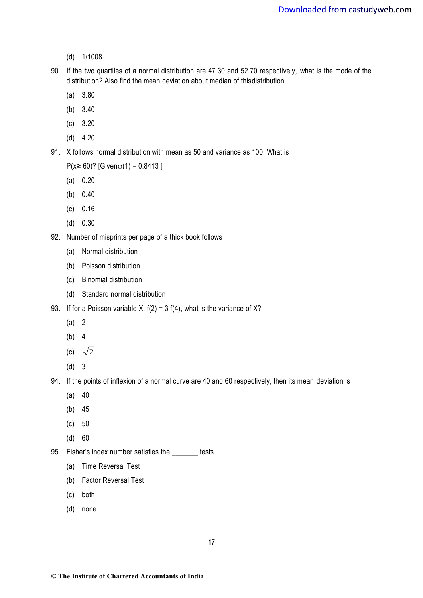- (d) 1/1008
- 90. If the two quartiles of a normal distribution are 47.30 and 52.70 respectively, what is the mode of the distribution? Also find the mean deviation about median of thisdistribution.
	- (a) 3.80
	- (b) 3.40
	- (c) 3.20
	- (d) 4.20
- 91. X follows normal distribution with mean as 50 and variance as 100. What is

 $P(x≥ 60)$ ? [Givenφ(1) = 0.8413 ]

- (a) 0.20
- (b) 0.40
- (c) 0.16
- (d) 0.30
- 92. Number of misprints per page of a thick book follows
	- (a) Normal distribution
	- (b) Poisson distribution
	- (c) Binomial distribution
	- (d) Standard normal distribution
- 93. If for a Poisson variable X,  $f(2) = 3 f(4)$ , what is the variance of X?
	- (a) 2
	- (b) 4
	- (c)  $\sqrt{2}$
	- (d) 3
- 94. If the points of inflexion of a normal curve are 40 and 60 respectively, then its mean deviation is
	- $(a) 40$
	- (b) 45
	- (c) 50
	- (d) 60
- 95. Fisher's index number satisfies the \_\_\_\_\_\_\_ tests
	- (a) Time Reversal Test
	- (b) Factor Reversal Test
	- (c) both
	- (d) none